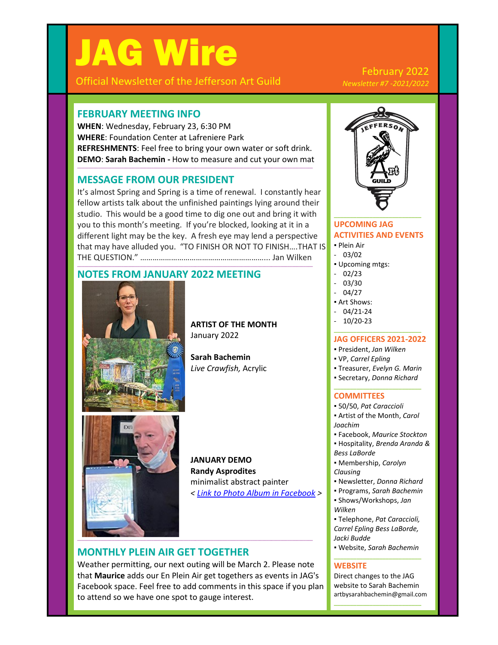# JAG Wire

Official Newsletter of the Jefferson Art Guild

#### February 2022 *Newsletter #7 -2021/2022*

## **FEBRUARY MEETING INFO**

**WHEN**: Wednesday, February 23, 6:30 PM **WHERE**: Foundation Center at Lafreniere Park **REFRESHMENTS**: Feel free to bring your own water or soft drink. **DEMO**: **Sarah Bachemin -** How to measure and cut your own mat

**\_\_\_\_\_\_\_\_\_\_\_\_\_\_\_\_\_\_\_\_\_\_\_\_\_\_\_\_\_\_\_\_\_\_\_\_\_\_\_\_\_\_\_\_\_\_\_\_\_\_\_\_\_\_\_\_\_\_\_\_\_\_\_\_\_\_\_\_\_\_\_\_\_\_\_\_\_\_\_\_\_\_\_\_\_\_\_\_\_\_\_\_\_\_\_\_\_\_\_\_\_\_**

## **MESSAGE FROM OUR PRESIDENT**

It's almost Spring and Spring is a time of renewal. I constantly hear fellow artists talk about the unfinished paintings lying around their studio. This would be a good time to dig one out and bring it with you to this month's meeting. If you're blocked, looking at it in a different light may be the key. A fresh eye may lend a perspective that may have alluded you. "TO FINISH OR NOT TO FINISH….THAT IS THE QUESTION." ……………………………………………………... Jan Wilken

**\_\_\_\_\_\_\_\_\_\_\_\_\_\_\_\_\_\_\_\_\_\_\_\_\_\_\_\_\_\_\_\_\_\_\_\_\_\_\_\_\_\_\_\_\_\_\_\_\_\_\_\_\_\_\_\_\_\_\_\_\_\_\_\_\_\_\_\_\_\_\_\_\_\_\_\_\_\_\_\_\_\_\_\_\_\_\_\_\_\_\_\_\_\_\_\_\_\_\_\_\_\_**

## **NOTES FROM JANUARY 2022 MEETING**



**ARTIST OF THE MONTH** January 2022

**Sarah Bachemin** *Live Crawfish,* Acrylic



**JANUARY DEMO Randy Asprodites** minimalist abstract painter *< [Link to Photo Album in Facebook](https://www.facebook.com/media/set/?vanity=JeffersonArtGuild&set=a.4681189768657153) >*

#### **MONTHLY PLEIN AIR GET TOGETHER**

Weather permitting, our next outing will be March 2. Please note that **Maurice** adds our En Plein Air get togethers as events in JAG's Facebook space. Feel free to add comments in this space if you plan to attend so we have one spot to gauge interest.

**\_\_\_\_\_\_\_\_\_\_\_\_\_\_\_\_\_\_\_\_\_\_\_\_\_\_\_\_\_\_\_\_\_\_\_\_\_\_\_\_\_\_\_\_\_\_\_\_\_\_\_\_\_\_\_\_\_\_\_\_\_\_\_\_\_\_\_\_\_\_\_\_\_\_\_\_\_\_\_\_\_\_\_\_\_\_\_\_\_\_\_\_\_\_\_\_\_\_\_\_\_\_**



#### **UPCOMING JAG ACTIVITIES AND EVENTS**

- Plein Air
- 03/02
- Upcoming mtgs:
- 02/23
- 03/30
- 04/27
- Art Shows:
- 04/21-24
- 10/20-23 **\_\_\_\_\_\_\_\_\_\_\_\_\_\_\_\_\_\_\_\_\_\_\_\_\_\_\_**

#### **JAG OFFICERS 2021-2022**

- President, *Jan Wilken*
- VP, *Carrel Epling*
- Treasurer, *Evelyn G. Marin*
- Secretary, *Donna Richard* **\_\_\_\_\_\_\_\_\_\_\_\_\_\_\_\_\_\_\_\_\_\_\_\_\_\_\_**

#### **COMMITTEES**

- 50/50, *Pat Caraccioli*
- Artist of the Month, *Carol Joachim*
- Facebook, *Maurice Stockton* ▪ Hospitality, *Brenda Aranda &*
- *Bess LaBorde*
- Membership, *Carolyn Clausing*
- Newsletter, *Donna Richard*
- Programs, *Sarah Bachemin*
- Shows/Workshops, *Jan Wilken*
- Telephone, *Pat Caraccioli, Carrel Epling Bess LaBorde, Jacki Budde*
- Website, *Sarah Bachemin* **\_\_\_\_\_\_\_\_\_\_\_\_\_\_\_\_\_\_\_\_\_\_\_\_\_\_\_**

#### **WEBSITE**

Direct changes to the JAG website to Sarah Bachemin artbysarahbachemin@gmail.com

**\_\_\_\_\_\_\_\_\_\_\_\_\_\_\_\_\_\_\_\_\_\_\_\_\_\_\_**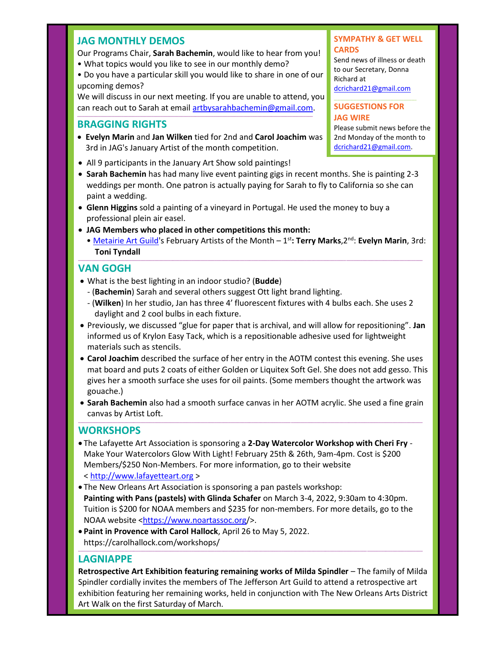#### **JAG MONTHLY DEMOS**

- Our Programs Chair, **Sarah Bachemin**, would like to hear from you! • What topics would you like to see in our monthly demo?
- Do you have a particular skill you would like to share in one of our upcoming demos?

We will discuss in our next meeting. If you are unable to attend, you can reach out to Sarah at emai[l artbysarahbachemin@gmail.com.](mailto:artbysarahbachemin@gmail.com)

**\_\_\_\_\_\_\_\_\_\_\_\_\_\_\_\_\_\_\_\_\_\_\_\_\_\_\_\_\_\_\_\_\_\_\_\_\_\_\_\_\_\_\_\_\_\_\_\_\_\_\_\_\_\_\_\_\_\_\_\_\_\_\_\_\_\_\_\_\_\_\_\_\_\_\_\_\_\_\_\_\_\_\_\_\_\_\_\_\_\_\_\_\_\_\_\_\_\_\_\_\_\_**

#### **BRAGGING RIGHTS**

- **Evelyn Marin** and **Jan Wilken** tied for 2nd and **Carol Joachim** was 3rd in JAG's January Artist of the month competition.
- All 9 participants in the January Art Show sold paintings!
- **Sarah Bachemin** has had many live event painting gigs in recent months. She is painting 2-3 weddings per month. One patron is actually paying for Sarah to fly to California so she can paint a wedding.
- **Glenn Higgins** sold a painting of a vineyard in Portugal. He used the money to buy a professional plein air easel.
- **JAG Members who placed in other competitions this month:**
- [Metairie Art Guild'](http://www.metairieartguild.com/index.html)s February Artists of the Month 1<sup>st</sup>: Terry Marks, 2<sup>nd</sup>: Evelyn Marin, 3rd: **Toni Tyndall \_\_\_\_\_\_\_\_\_\_\_\_\_\_\_\_\_\_\_\_\_\_\_\_\_\_\_\_\_\_\_\_\_\_\_\_\_\_\_\_\_\_\_\_\_\_\_\_\_\_\_\_\_\_\_\_\_\_\_\_\_\_\_\_\_\_\_\_\_\_\_\_\_\_\_\_\_\_\_\_\_\_\_\_\_\_\_\_\_\_\_\_\_\_\_\_\_\_\_\_\_\_\_\_\_\_\_\_\_\_\_\_\_\_\_\_\_\_\_\_\_\_\_\_\_\_\_\_\_\_\_\_\_\_\_\_\_\_\_\_\_\_\_\_\_\_\_\_\_**

#### **VAN GOGH**

- What is the best lighting in an indoor studio? (**Budde**)
- (**Bachemin**) Sarah and several others suggest Ott light brand lighting.
- (**Wilken**) In her studio, Jan has three 4' fluorescent fixtures with 4 bulbs each. She uses 2 daylight and 2 cool bulbs in each fixture.
- Previously, we discussed "glue for paper that is archival, and will allow for repositioning". **Jan** informed us of Krylon Easy Tack, which is a repositionable adhesive used for lightweight materials such as stencils.
- **Carol Joachim** described the surface of her entry in the AOTM contest this evening. She uses mat board and puts 2 coats of either Golden or Liquitex Soft Gel. She does not add gesso. This gives her a smooth surface she uses for oil paints. (Some members thought the artwork was gouache.)
- **Sarah Bachemin** also had a smooth surface canvas in her AOTM acrylic. She used a fine grain canvas by Artist Loft. **\_\_\_\_\_\_\_\_\_\_\_\_\_\_\_\_\_\_\_\_\_\_\_\_\_\_\_\_\_\_\_\_\_\_\_\_\_\_\_\_\_\_\_\_\_\_\_\_\_\_\_\_\_\_\_\_\_\_\_\_\_\_\_\_\_\_\_\_\_\_\_\_\_\_\_\_\_\_\_\_\_\_\_\_\_\_\_\_\_\_\_\_\_\_\_\_\_\_\_\_\_\_\_\_\_\_\_\_\_\_\_\_\_\_\_\_\_\_\_\_\_\_\_\_\_\_\_\_\_\_\_\_\_\_\_\_\_\_\_\_\_\_\_\_\_\_\_\_\_**

#### **WORKSHOPS**

- The Lafayette Art Association is sponsoring a **2-Day Watercolor Workshop with Cheri Fry** Make Your Watercolors Glow With Light! February 25th & 26th, 9am-4pm. Cost is \$200 Members/\$250 Non-Members. For more information, go to their website < [http://www.lafayetteart.org](http://www.lafayetteart.org/) >
- The New Orleans Art Association is sponsoring a pan pastels workshop: **Painting with Pans (pastels) with Glinda Schafer** on March 3-4, 2022, 9:30am to 4:30pm. Tuition is \$200 for NOAA members and \$235 for non-members. For more details, go to the NOAA website [<https://www.noartassoc.org/](https://www.noartassoc.org/)>.
- **Paint in Provence with Carol Hallock**, April 26 to May 5, 2022. https://carolhallock.com/workshops/ **\_\_\_\_\_\_\_\_\_\_\_\_\_\_\_\_\_\_\_\_\_\_\_\_\_\_\_\_\_\_\_\_\_\_\_\_\_\_\_\_\_\_\_\_\_\_\_\_\_\_\_\_\_\_\_\_\_\_\_\_\_\_\_\_\_\_\_\_\_\_\_\_\_\_\_\_\_\_\_\_\_\_\_\_\_\_\_\_\_\_\_\_\_\_\_\_\_\_\_\_\_\_\_\_\_\_\_\_\_\_\_\_\_\_\_\_\_\_\_\_\_\_\_\_\_\_\_\_\_\_\_\_\_\_\_\_\_\_\_\_\_\_\_\_\_\_\_\_\_**

#### **LAGNIAPPE**

**Retrospective Art Exhibition featuring remaining works of Milda Spindler** – The family of Milda Spindler cordially invites the members of The Jefferson Art Guild to attend a retrospective art exhibition featuring her remaining works, held in conjunction with The New Orleans Arts District Art Walk on the first Saturday of March.

#### **SYMPATHY & GET WELL CARDS**

Send news of illness or death to our Secretary, Donna Richard at [dcrichard21@gmail.com](mailto:dcrichard21@gmail.com)

#### **SUGGESTIONS FOR JAG WIRE**

Please submit news before the 2nd Monday of the month to [dcrichard21@gmail.com.](mailto:dcrichard21@gmail.com)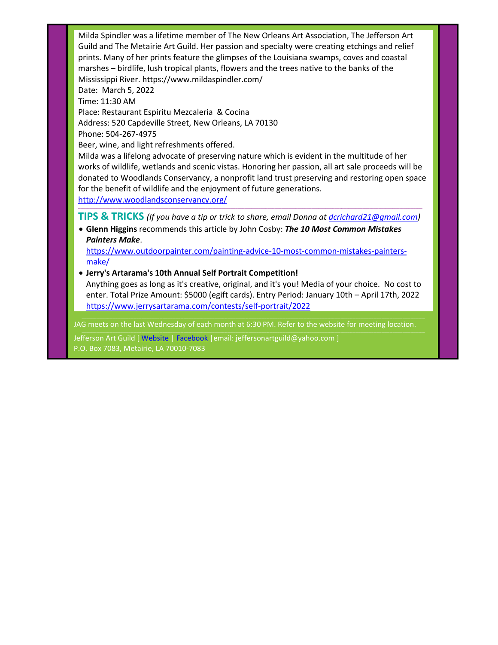Milda Spindler was a lifetime member of The New Orleans Art Association, The Jefferson Art Guild and The Metairie Art Guild. Her passion and specialty were creating etchings and relief prints. Many of her prints feature the glimpses of the Louisiana swamps, coves and coastal marshes – birdlife, lush tropical plants, flowers and the trees native to the banks of the Mississippi River. https://www.mildaspindler.com/ Date: March 5, 2022 Time: 11:30 AM Place: Restaurant Espiritu Mezcaleria & Cocina Address: 520 Capdeville Street, New Orleans, LA 70130 Phone: 504-267-4975 Beer, wine, and light refreshments offered. Milda was a lifelong advocate of preserving nature which is evident in the multitude of her works of wildlife, wetlands and scenic vistas. Honoring her passion, all art sale proceeds will be donated to Woodlands Conservancy, a nonprofit land trust preserving and restoring open space for the benefit of wildlife and the enjoyment of future generations. <http://www.woodlandsconservancy.org/> **\_\_\_\_\_\_\_\_\_\_\_\_\_\_\_\_\_\_\_\_\_\_\_\_\_\_\_\_\_\_\_\_\_\_\_\_\_\_\_\_\_\_\_\_\_\_\_\_\_\_\_\_\_\_\_\_\_\_\_\_\_\_\_\_\_\_\_\_\_\_\_\_\_\_\_\_\_\_\_\_\_\_\_\_\_\_\_\_\_\_\_\_\_\_\_\_\_\_\_\_\_\_\_\_\_\_\_\_\_\_\_\_\_\_\_\_\_\_\_\_\_\_\_\_\_\_\_\_\_\_\_\_\_\_\_\_\_\_\_\_\_\_\_\_\_\_\_\_\_ TIPS & TRICKS** *(If you have a tip or trick to share, email Donna at [dcrichard21@gmail.com\)](mailto:dcrichard21@gmail.com)* • **Glenn Higgins** recommends this article by John Cosby: *The 10 Most Common Mistakes Painters Make*. [https://www.outdoorpainter.com/painting-advice-10-most-common-mistakes-painters](https://www.outdoorpainter.com/painting-advice-10-most-common-mistakes-painters-make/)[make/](https://www.outdoorpainter.com/painting-advice-10-most-common-mistakes-painters-make/) • **Jerry's Artarama's 10th Annual Self Portrait Competition!** Anything goes as long as it's creative, original, and it's you! Media of your choice. No cost to enter. Total Prize Amount: \$5000 (egift cards). Entry Period: January 10th – April 17th, 2022 <https://www.jerrysartarama.com/contests/self-portrait/2022> JAG meets on the last Wednesday of each month at 6:30 PM. Refer to the website for meeting location.

Jefferson Art Guild [ [Website](http://www.jeffersonartguild.com/home) | [Facebook](https://www.facebook.com/JeffersonArtGuild/?fref=ts) | email: jeffersonartguild@yahoo.com ] P.O. Box 7083, Metairie, LA 70010-7083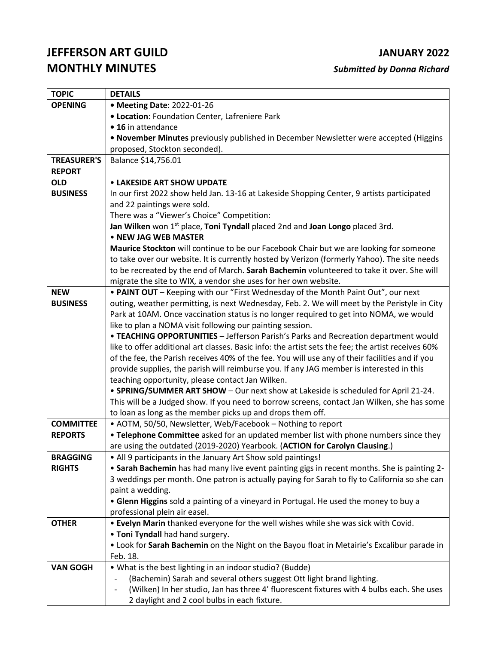## **JEFFERSON ART GUILD JANUARY 2022 MONTHLY MINUTES** *Submitted by Donna Richard*

| <b>TOPIC</b>                    | <b>DETAILS</b>                                                                                                                                                                                                                                                                                                                                                                                                                                                                                                      |
|---------------------------------|---------------------------------------------------------------------------------------------------------------------------------------------------------------------------------------------------------------------------------------------------------------------------------------------------------------------------------------------------------------------------------------------------------------------------------------------------------------------------------------------------------------------|
| <b>OPENING</b>                  | • Meeting Date: 2022-01-26                                                                                                                                                                                                                                                                                                                                                                                                                                                                                          |
|                                 | <b>. Location: Foundation Center, Lafreniere Park</b>                                                                                                                                                                                                                                                                                                                                                                                                                                                               |
|                                 | • 16 in attendance                                                                                                                                                                                                                                                                                                                                                                                                                                                                                                  |
|                                 | . November Minutes previously published in December Newsletter were accepted (Higgins                                                                                                                                                                                                                                                                                                                                                                                                                               |
|                                 | proposed, Stockton seconded).                                                                                                                                                                                                                                                                                                                                                                                                                                                                                       |
| <b>TREASURER'S</b>              | Balance \$14,756.01                                                                                                                                                                                                                                                                                                                                                                                                                                                                                                 |
| <b>REPORT</b>                   |                                                                                                                                                                                                                                                                                                                                                                                                                                                                                                                     |
| <b>OLD</b>                      | <b>• LAKESIDE ART SHOW UPDATE</b>                                                                                                                                                                                                                                                                                                                                                                                                                                                                                   |
| <b>BUSINESS</b>                 | In our first 2022 show held Jan. 13-16 at Lakeside Shopping Center, 9 artists participated                                                                                                                                                                                                                                                                                                                                                                                                                          |
|                                 | and 22 paintings were sold.                                                                                                                                                                                                                                                                                                                                                                                                                                                                                         |
|                                 | There was a "Viewer's Choice" Competition:                                                                                                                                                                                                                                                                                                                                                                                                                                                                          |
|                                 | Jan Wilken won 1 <sup>st</sup> place, Toni Tyndall placed 2nd and Joan Longo placed 3rd.                                                                                                                                                                                                                                                                                                                                                                                                                            |
|                                 | • NEW JAG WEB MASTER                                                                                                                                                                                                                                                                                                                                                                                                                                                                                                |
|                                 | Maurice Stockton will continue to be our Facebook Chair but we are looking for someone                                                                                                                                                                                                                                                                                                                                                                                                                              |
|                                 | to take over our website. It is currently hosted by Verizon (formerly Yahoo). The site needs                                                                                                                                                                                                                                                                                                                                                                                                                        |
|                                 | to be recreated by the end of March. Sarah Bachemin volunteered to take it over. She will                                                                                                                                                                                                                                                                                                                                                                                                                           |
|                                 | migrate the site to WIX, a vendor she uses for her own website.                                                                                                                                                                                                                                                                                                                                                                                                                                                     |
| <b>NEW</b>                      | . PAINT OUT - Keeping with our "First Wednesday of the Month Paint Out", our next                                                                                                                                                                                                                                                                                                                                                                                                                                   |
| <b>BUSINESS</b>                 | outing, weather permitting, is next Wednesday, Feb. 2. We will meet by the Peristyle in City                                                                                                                                                                                                                                                                                                                                                                                                                        |
|                                 | Park at 10AM. Once vaccination status is no longer required to get into NOMA, we would                                                                                                                                                                                                                                                                                                                                                                                                                              |
|                                 | like to plan a NOMA visit following our painting session.                                                                                                                                                                                                                                                                                                                                                                                                                                                           |
|                                 | • TEACHING OPPORTUNITIES - Jefferson Parish's Parks and Recreation department would                                                                                                                                                                                                                                                                                                                                                                                                                                 |
|                                 | like to offer additional art classes. Basic info: the artist sets the fee; the artist receives 60%                                                                                                                                                                                                                                                                                                                                                                                                                  |
|                                 | of the fee, the Parish receives 40% of the fee. You will use any of their facilities and if you                                                                                                                                                                                                                                                                                                                                                                                                                     |
|                                 | provide supplies, the parish will reimburse you. If any JAG member is interested in this                                                                                                                                                                                                                                                                                                                                                                                                                            |
|                                 | teaching opportunity, please contact Jan Wilken.                                                                                                                                                                                                                                                                                                                                                                                                                                                                    |
|                                 | . SPRING/SUMMER ART SHOW - Our next show at Lakeside is scheduled for April 21-24.                                                                                                                                                                                                                                                                                                                                                                                                                                  |
|                                 | This will be a Judged show. If you need to borrow screens, contact Jan Wilken, she has some                                                                                                                                                                                                                                                                                                                                                                                                                         |
|                                 | to loan as long as the member picks up and drops them off.                                                                                                                                                                                                                                                                                                                                                                                                                                                          |
| <b>COMMITTEE</b>                | • AOTM, 50/50, Newsletter, Web/Facebook - Nothing to report                                                                                                                                                                                                                                                                                                                                                                                                                                                         |
| <b>REPORTS</b>                  | • Telephone Committee asked for an updated member list with phone numbers since they                                                                                                                                                                                                                                                                                                                                                                                                                                |
|                                 | are using the outdated (2019-2020) Yearbook. (ACTION for Carolyn Clausing.)                                                                                                                                                                                                                                                                                                                                                                                                                                         |
| <b>BRAGGING</b>                 | • All 9 participants in the January Art Show sold paintings!                                                                                                                                                                                                                                                                                                                                                                                                                                                        |
| <b>RIGHTS</b>                   | . Sarah Bachemin has had many live event painting gigs in recent months. She is painting 2-<br>3 weddings per month. One patron is actually paying for Sarah to fly to California so she can                                                                                                                                                                                                                                                                                                                        |
|                                 | paint a wedding.                                                                                                                                                                                                                                                                                                                                                                                                                                                                                                    |
|                                 | . Glenn Higgins sold a painting of a vineyard in Portugal. He used the money to buy a                                                                                                                                                                                                                                                                                                                                                                                                                               |
|                                 | professional plein air easel.                                                                                                                                                                                                                                                                                                                                                                                                                                                                                       |
|                                 |                                                                                                                                                                                                                                                                                                                                                                                                                                                                                                                     |
|                                 |                                                                                                                                                                                                                                                                                                                                                                                                                                                                                                                     |
|                                 |                                                                                                                                                                                                                                                                                                                                                                                                                                                                                                                     |
|                                 |                                                                                                                                                                                                                                                                                                                                                                                                                                                                                                                     |
|                                 |                                                                                                                                                                                                                                                                                                                                                                                                                                                                                                                     |
|                                 |                                                                                                                                                                                                                                                                                                                                                                                                                                                                                                                     |
|                                 |                                                                                                                                                                                                                                                                                                                                                                                                                                                                                                                     |
|                                 |                                                                                                                                                                                                                                                                                                                                                                                                                                                                                                                     |
| <b>OTHER</b><br><b>VAN GOGH</b> | . Evelyn Marin thanked everyone for the well wishes while she was sick with Covid.<br>. Toni Tyndall had hand surgery.<br>. Look for Sarah Bachemin on the Night on the Bayou float in Metairie's Excalibur parade in<br>Feb. 18.<br>• What is the best lighting in an indoor studio? (Budde)<br>(Bachemin) Sarah and several others suggest Ott light brand lighting.<br>(Wilken) In her studio, Jan has three 4' fluorescent fixtures with 4 bulbs each. She uses<br>2 daylight and 2 cool bulbs in each fixture. |